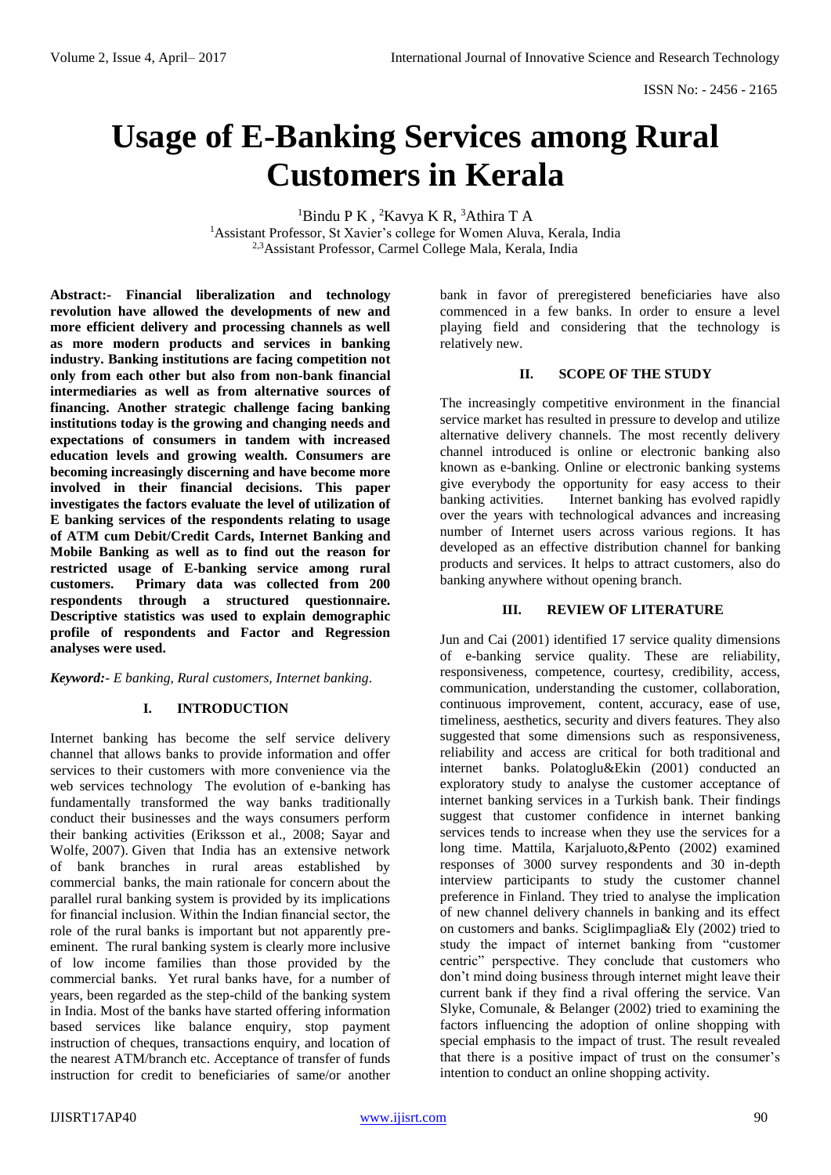# **Usage of E-Banking Services among Rural Customers in Kerala**

 $1$ Bindu P K,  $2$ Kavya K R,  $3$ Athira T A <sup>1</sup>Assistant Professor, St Xavier's college for Women Aluva, Kerala, India 2,3Assistant Professor, Carmel College Mala, Kerala, India

**Abstract:- Financial liberalization and technology revolution have allowed the developments of new and more efficient delivery and processing channels as well as more modern products and services in banking industry. Banking institutions are facing competition not only from each other but also from non-bank financial intermediaries as well as from alternative sources of financing. Another strategic challenge facing banking institutions today is the growing and changing needs and expectations of consumers in tandem with increased education levels and growing wealth. Consumers are becoming increasingly discerning and have become more involved in their financial decisions. This paper investigates the factors evaluate the level of utilization of E banking services of the respondents relating to usage of ATM cum Debit/Credit Cards, Internet Banking and Mobile Banking as well as to find out the reason for restricted usage of E-banking service among rural customers. Primary data was collected from 200 respondents through a structured questionnaire. Descriptive statistics was used to explain demographic profile of respondents and Factor and Regression analyses were used.**

*Keyword:- E banking, Rural customers, Internet banking.*

### **I. INTRODUCTION**

Internet banking has become the self service delivery channel that allows banks to provide information and offer services to their customers with more convenience via the web services technology The evolution of e-banking has fundamentally transformed the way banks traditionally conduct their businesses and the ways consumers perform their banking activities (Eriksson et al., 2008; Sayar and Wolfe, 2007). Given that India has an extensive network of bank branches in rural areas established by commercial banks, the main rationale for concern about the parallel rural banking system is provided by its implications for financial inclusion. Within the Indian financial sector, the role of the rural banks is important but not apparently preeminent. The rural banking system is clearly more inclusive of low income families than those provided by the commercial banks. Yet rural banks have, for a number of years, been regarded as the step-child of the banking system in India. Most of the banks have started offering information based services like balance enquiry, stop payment instruction of cheques, transactions enquiry, and location of the nearest ATM/branch etc. Acceptance of transfer of funds instruction for credit to beneficiaries of same/or another

bank in favor of preregistered beneficiaries have also commenced in a few banks. In order to ensure a level playing field and considering that the technology is relatively new.

# **II. SCOPE OF THE STUDY**

The increasingly competitive environment in the financial service market has resulted in pressure to develop and utilize alternative delivery channels. The most recently delivery channel introduced is online or electronic banking also known as e-banking. Online or electronic banking systems give everybody the opportunity for easy access to their banking activities. Internet banking has evolved rapidly over the years with technological advances and increasing number of Internet users across various regions. It has developed as an effective distribution channel for banking products and services. It helps to attract customers, also do banking anywhere without opening branch.

#### **III. REVIEW OF LITERATURE**

Jun and Cai (2001) identified 17 service quality dimensions of e-banking service quality. These are reliability, responsiveness, competence, courtesy, credibility, access, communication, understanding the customer, collaboration, continuous improvement, content, accuracy, ease of use, timeliness, aesthetics, security and divers features. They also suggested that some dimensions such as responsiveness, reliability and access are critical for both traditional and internet banks. Polatoglu&Ekin (2001) conducted an exploratory study to analyse the customer acceptance of internet banking services in a Turkish bank. Their findings suggest that customer confidence in internet banking services tends to increase when they use the services for a long time. Mattila, Karjaluoto,&Pento (2002) examined responses of 3000 survey respondents and 30 in-depth interview participants to study the customer channel preference in Finland. They tried to analyse the implication of new channel delivery channels in banking and its effect on customers and banks. Sciglimpaglia& Ely (2002) tried to study the impact of internet banking from "customer centric" perspective. They conclude that customers who don't mind doing business through internet might leave their current bank if they find a rival offering the service. Van Slyke, Comunale, & Belanger (2002) tried to examining the factors influencing the adoption of online shopping with special emphasis to the impact of trust. The result revealed that there is a positive impact of trust on the consumer's intention to conduct an online shopping activity.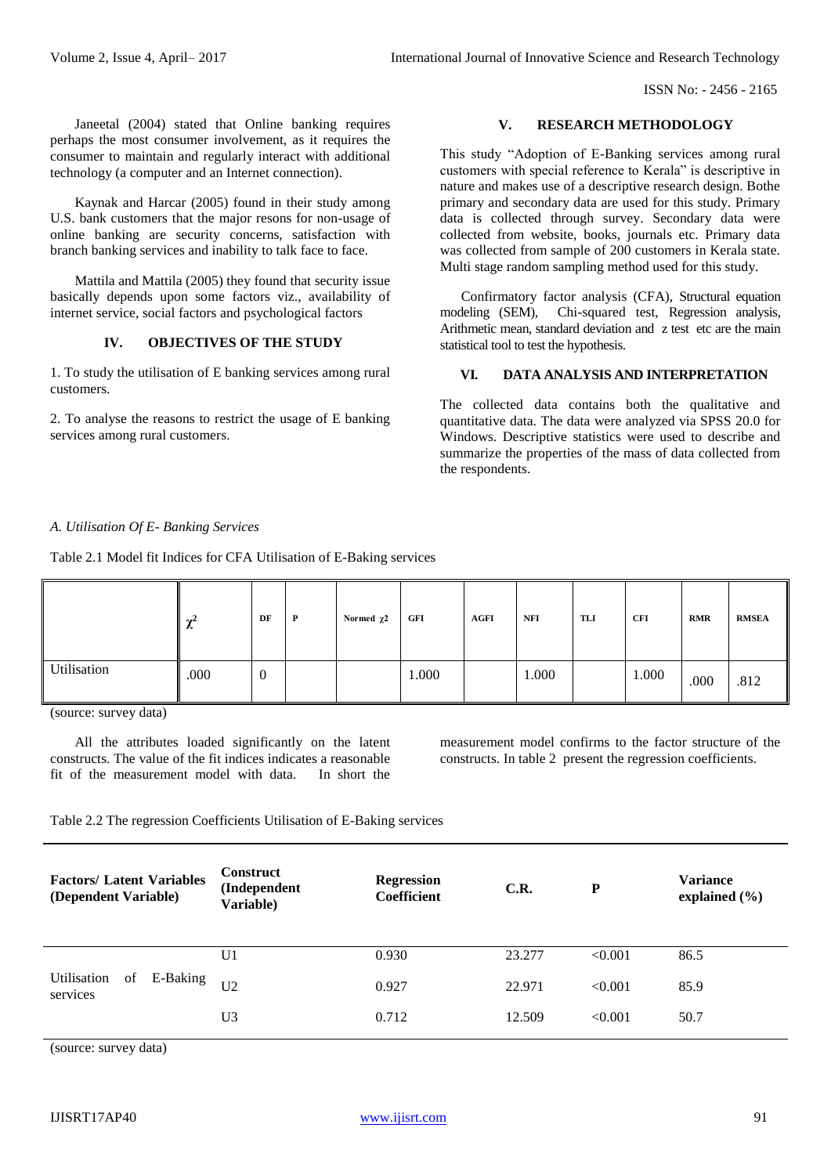ISSN No: - 2456 - 2165

 Janeetal (2004) stated that Online banking requires perhaps the most consumer involvement, as it requires the consumer to maintain and regularly interact with additional technology (a computer and an Internet connection).

 Kaynak and Harcar (2005) found in their study among U.S. bank customers that the major resons for non-usage of online banking are security concerns, satisfaction with branch banking services and inability to talk face to face.

 Mattila and Mattila (2005) they found that security issue basically depends upon some factors viz., availability of internet service, social factors and psychological factors

# **IV. OBJECTIVES OF THE STUDY**

1. To study the utilisation of E banking services among rural customers.

2. To analyse the reasons to restrict the usage of E banking services among rural customers.

#### **V. RESEARCH METHODOLOGY**

This study "Adoption of E-Banking services among rural customers with special reference to Kerala" is descriptive in nature and makes use of a descriptive research design. Bothe primary and secondary data are used for this study. Primary data is collected through survey. Secondary data were collected from website, books, journals etc. Primary data was collected from sample of 200 customers in Kerala state. Multi stage random sampling method used for this study.

 Confirmatory factor analysis (CFA), Structural equation modeling (SEM), Chi-squared test, Regression analysis, Arithmetic mean, standard deviation and z test etc are the main statistical tool to test the hypothesis.

### **VI. DATA ANALYSIS AND INTERPRETATION**

The collected data contains both the qualitative and quantitative data. The data were analyzed via SPSS 20.0 for Windows. Descriptive statistics were used to describe and summarize the properties of the mass of data collected from the respondents.

#### *A. Utilisation Of E- Banking Services*

Table 2.1 Model fit Indices for CFA Utilisation of E-Baking services

|             | ∼    | DF               | P | Normed $\chi$ 2 | GFI   | <b>AGFI</b> | NFI   | TLI | CFI   | <b>RMR</b> | <b>RMSEA</b> |
|-------------|------|------------------|---|-----------------|-------|-------------|-------|-----|-------|------------|--------------|
| Utilisation | .000 | $\boldsymbol{0}$ |   |                 | 1.000 |             | 000.1 |     | 1.000 | .000       | .812         |

(source: survey data)

 All the attributes loaded significantly on the latent constructs. The value of the fit indices indicates a reasonable fit of the measurement model with data. In short the

measurement model confirms to the factor structure of the constructs. In table 2 present the regression coefficients.

Table 2.2 The regression Coefficients Utilisation of E-Baking services

| <b>Factors/ Latent Variables</b><br>(Dependent Variable) |    |          | <b>Construct</b><br>(Independent<br>Variable) | <b>Regression</b><br>Coefficient | C.R.   | P       | <b>Variance</b><br>explained $(\% )$ |
|----------------------------------------------------------|----|----------|-----------------------------------------------|----------------------------------|--------|---------|--------------------------------------|
|                                                          |    |          | U1                                            | 0.930                            | 23.277 | < 0.001 | 86.5                                 |
| Utilisation<br>services                                  | of | E-Baking | U <sub>2</sub>                                | 0.927                            | 22.971 | < 0.001 | 85.9                                 |
|                                                          |    |          | U3                                            | 0.712                            | 12.509 | < 0.001 | 50.7                                 |

(source: survey data)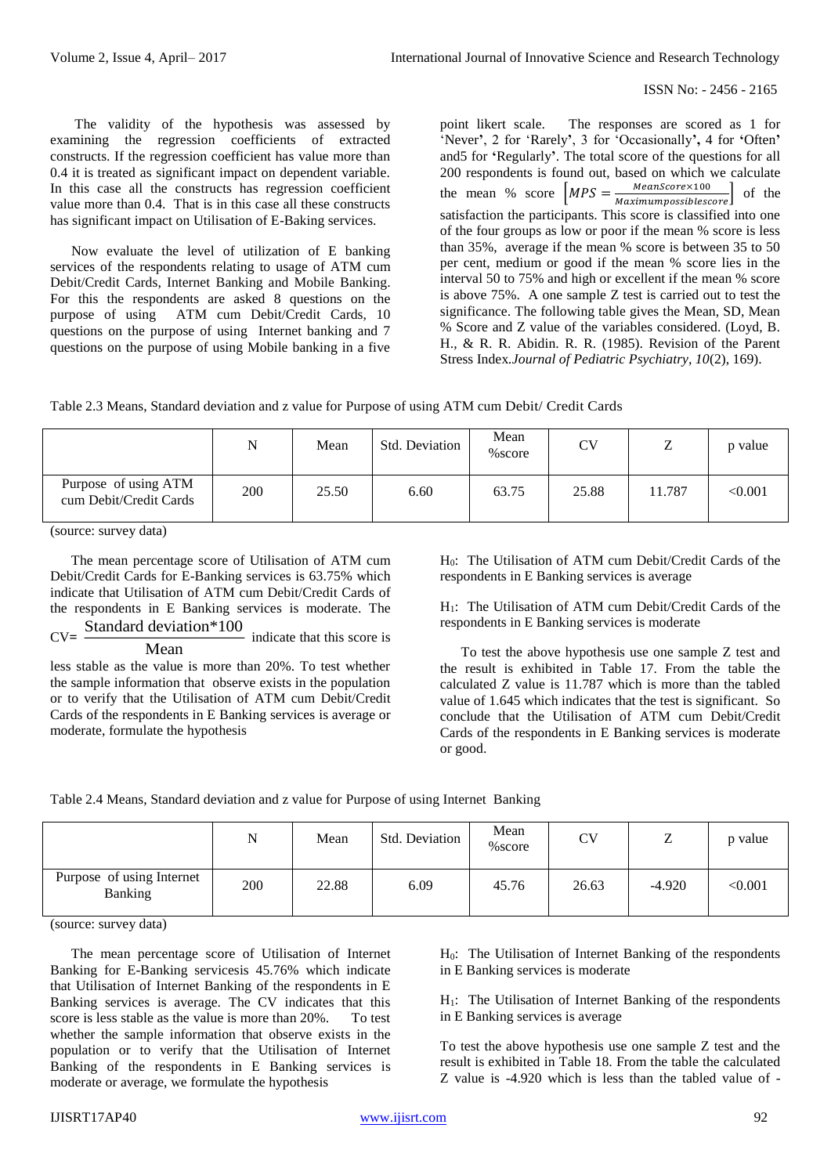The validity of the hypothesis was assessed by examining the regression coefficients of extracted constructs. If the regression coefficient has value more than 0.4 it is treated as significant impact on dependent variable. In this case all the constructs has regression coefficient value more than 0.4. That is in this case all these constructs has significant impact on Utilisation of E-Baking services.

 Now evaluate the level of utilization of E banking services of the respondents relating to usage of ATM cum Debit/Credit Cards, Internet Banking and Mobile Banking. For this the respondents are asked 8 questions on the purpose of using ATM cum Debit/Credit Cards, 10 ATM cum Debit/Credit Cards, 10 questions on the purpose of using Internet banking and 7 questions on the purpose of using Mobile banking in a five

point likert scale. The responses are scored as 1 for 'Never**'**, 2 for 'Rarely**'**, 3 for 'Occasionally**',** 4 for **'**Often**'**  and5 for **'**Regularly**'**. The total score of the questions for all 200 respondents is found out, based on which we calculate the mean % score  $\left[ MPS = \frac{MeanScore \times 100}{Maximum possiblescore} \right]$  of the satisfaction the participants. This score is classified into one of the four groups as low or poor if the mean % score is less than 35%, average if the mean % score is between 35 to 50 per cent, medium or good if the mean % score lies in the interval 50 to 75% and high or excellent if the mean % score is above 75%. A one sample Z test is carried out to test the significance. The following table gives the Mean, SD, Mean % Score and Z value of the variables considered. (Loyd, B. H., & R. R. Abidin. R. R. (1985). Revision of the Parent Stress Index*.Journal of Pediatric Psychiatry, 10*(2), 169).

|                                                | N   | Mean  | Std. Deviation | Mean<br>$% \text{score}$ | CV    | ⇁<br>∸ | p value |
|------------------------------------------------|-----|-------|----------------|--------------------------|-------|--------|---------|
| Purpose of using ATM<br>cum Debit/Credit Cards | 200 | 25.50 | 6.60           | 63.75                    | 25.88 | 11.787 | < 0.001 |

(source: survey data)

 The mean percentage score of Utilisation of ATM cum Debit/Credit Cards for E-Banking services is 63.75% which indicate that Utilisation of ATM cum Debit/Credit Cards of the respondents in E Banking services is moderate. The Standard deviation\*100

 $CV =$ Mean indicate that this score is

less stable as the value is more than 20%. To test whether the sample information that observe exists in the population or to verify that the Utilisation of ATM cum Debit/Credit Cards of the respondents in E Banking services is average or moderate, formulate the hypothesis

H0: The Utilisation of ATM cum Debit/Credit Cards of the respondents in E Banking services is average

H1: The Utilisation of ATM cum Debit/Credit Cards of the respondents in E Banking services is moderate

 To test the above hypothesis use one sample Z test and the result is exhibited in Table 17. From the table the calculated Z value is 11.787 which is more than the tabled value of 1.645 which indicates that the test is significant. So conclude that the Utilisation of ATM cum Debit/Credit Cards of the respondents in E Banking services is moderate or good.

| Table 2.4 Means, Standard deviation and z value for Purpose of using Internet Banking |  |  |
|---------------------------------------------------------------------------------------|--|--|
|---------------------------------------------------------------------------------------|--|--|

|                                      | N   | Mean  | Std. Deviation | Mean<br>$% \text{score}$ | <b>CV</b> | ⇁<br>∸   | p value |
|--------------------------------------|-----|-------|----------------|--------------------------|-----------|----------|---------|
| Purpose of using Internet<br>Banking | 200 | 22.88 | 6.09           | 45.76                    | 26.63     | $-4.920$ | < 0.001 |

(source: survey data)

 The mean percentage score of Utilisation of Internet Banking for E-Banking servicesis 45.76% which indicate that Utilisation of Internet Banking of the respondents in E Banking services is average. The CV indicates that this score is less stable as the value is more than 20%. To test whether the sample information that observe exists in the population or to verify that the Utilisation of Internet Banking of the respondents in E Banking services is moderate or average, we formulate the hypothesis

H0: The Utilisation of Internet Banking of the respondents in E Banking services is moderate

H1: The Utilisation of Internet Banking of the respondents in E Banking services is average

To test the above hypothesis use one sample Z test and the result is exhibited in Table 18. From the table the calculated Z value is -4.920 which is less than the tabled value of -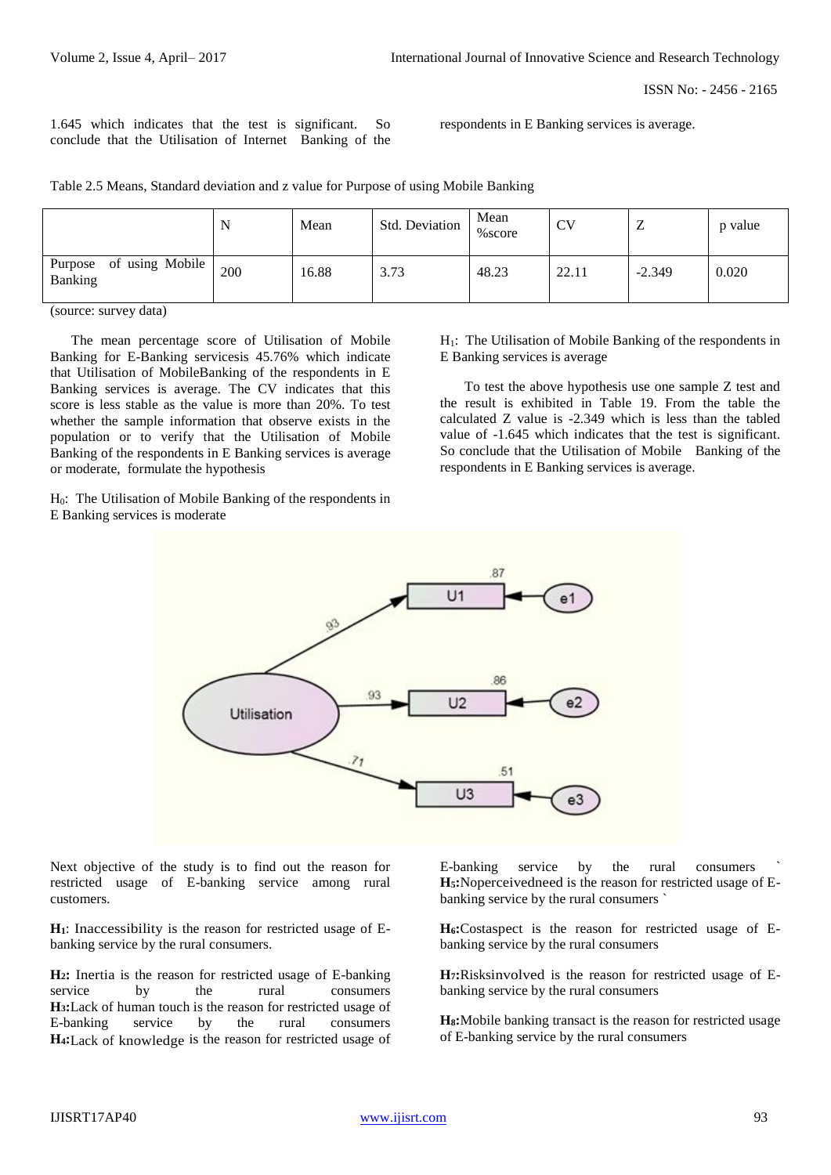ISSN No: - 2456 - 2165

1.645 which indicates that the test is significant. So conclude that the Utilisation of Internet Banking of the respondents in E Banking services is average.

Table 2.5 Means, Standard deviation and z value for Purpose of using Mobile Banking

|                                    | N   | Mean  | Std. Deviation | Mean<br>% score | CV    | ∸        | p value |
|------------------------------------|-----|-------|----------------|-----------------|-------|----------|---------|
| Purpose of using Mobile<br>Banking | 200 | 16.88 | 3.73           | 48.23           | 22.11 | $-2.349$ | 0.020   |

(source: survey data)

 The mean percentage score of Utilisation of Mobile Banking for E-Banking servicesis 45.76% which indicate that Utilisation of MobileBanking of the respondents in E Banking services is average. The CV indicates that this score is less stable as the value is more than 20%. To test whether the sample information that observe exists in the population or to verify that the Utilisation of Mobile Banking of the respondents in E Banking services is average or moderate, formulate the hypothesis

H0: The Utilisation of Mobile Banking of the respondents in E Banking services is moderate

H1: The Utilisation of Mobile Banking of the respondents in E Banking services is average

 To test the above hypothesis use one sample Z test and the result is exhibited in Table 19. From the table the calculated Z value is -2.349 which is less than the tabled value of -1.645 which indicates that the test is significant. So conclude that the Utilisation of Mobile Banking of the respondents in E Banking services is average.



Next objective of the study is to find out the reason for restricted usage of E-banking service among rural customers.

**H1**: Inaccessibility is the reason for restricted usage of Ebanking service by the rural consumers.

**H2:** Inertia is the reason for restricted usage of E-banking service by the rural consumers **H3:**Lack of human touch is the reason for restricted usage of E-banking service by the rural consumers **H4:**Lack of knowledge is the reason for restricted usage of E-banking service by the rural consumers **H5:**Noperceivedneed is the reason for restricted usage of Ebanking service by the rural consumers `

**H6:**Costaspect is the reason for restricted usage of Ebanking service by the rural consumers

**H7:**Risksinvolved is the reason for restricted usage of Ebanking service by the rural consumers

**H8:**Mobile banking transact is the reason for restricted usage of E-banking service by the rural consumers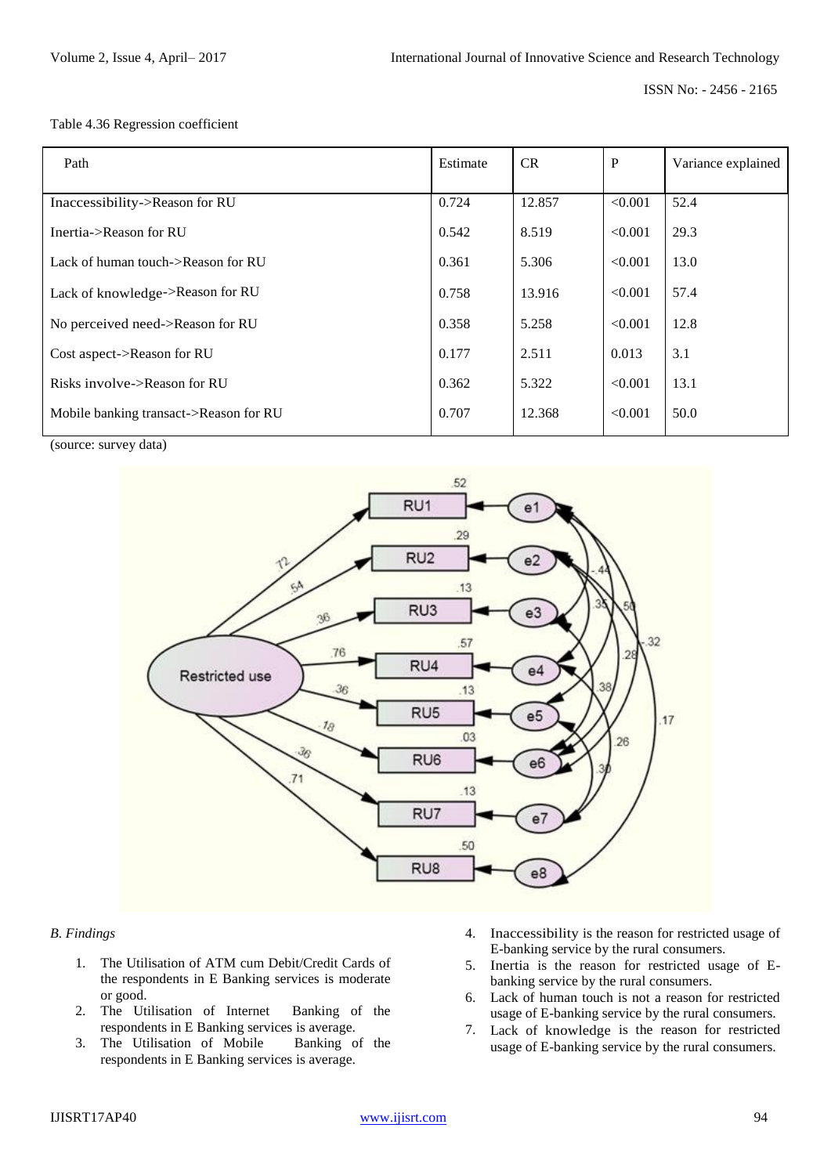ISSN No: - 2456 - 2165

Table 4.36 Regression coefficient

| Path                                   | Estimate | CR     | P       | Variance explained |
|----------------------------------------|----------|--------|---------|--------------------|
| Inaccessibility->Reason for RU         | 0.724    | 12.857 | < 0.001 | 52.4               |
| Inertia->Reason for RU                 | 0.542    | 8.519  | < 0.001 | 29.3               |
| Lack of human touch->Reason for RU     | 0.361    | 5.306  | < 0.001 | 13.0               |
| Lack of knowledge->Reason for RU       | 0.758    | 13.916 | < 0.001 | 57.4               |
| No perceived need->Reason for RU       | 0.358    | 5.258  | < 0.001 | 12.8               |
| Cost aspect->Reason for RU             | 0.177    | 2.511  | 0.013   | 3.1                |
| Risks involve->Reason for RU           | 0.362    | 5.322  | < 0.001 | 13.1               |
| Mobile banking transact->Reason for RU | 0.707    | 12.368 | < 0.001 | 50.0               |

(source: survey data)



### *B. Findings*

- 1. The Utilisation of ATM cum Debit/Credit Cards of the respondents in E Banking services is moderate or good.
- 2. The Utilisation of Internet Banking of the respondents in E Banking services is average.
- 3. The Utilisation of Mobile Banking of the respondents in E Banking services is average.
- 4. Inaccessibility is the reason for restricted usage of E-banking service by the rural consumers.
- 5. Inertia is the reason for restricted usage of Ebanking service by the rural consumers.
- 6. Lack of human touch is not a reason for restricted usage of E-banking service by the rural consumers.
- 7. Lack of knowledge is the reason for restricted usage of E-banking service by the rural consumers.